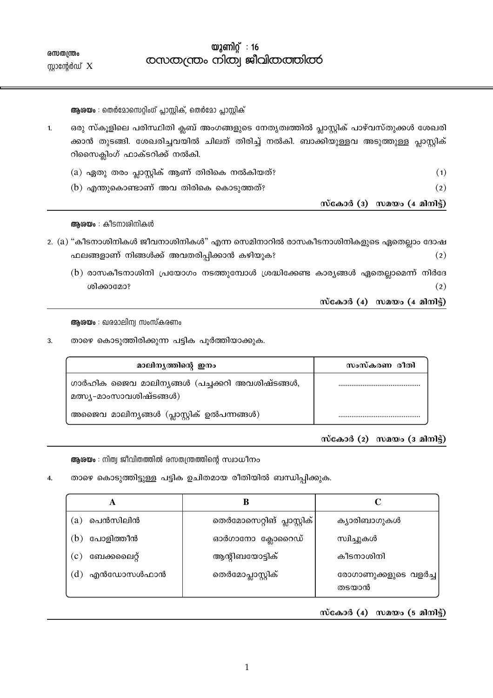$\omega$ 2 ണിറ്റ്: 16 comoo (cross colloon) salgala comoo coloo

൜തന്ത്രം സ്റ്റാന്റേർഡ്  $X$ 

ആരയം : തെർമോസെറ്റിംഗ് പ്ലാസ്റ്റിക്, തെർമോ പ്ലാസ്റ്റിക്

- ഒരു സ്കൂളിലെ പരിസ്ഥിതി ക്ലബ് അംഗങ്ങളുടെ നേതൃത്വത്തിൽ പ്ലാസ്റ്റിക് പാഴ്വസ്തുക്കൾ ശേഖരി  $\mathbf{1}$ ക്കാൻ തുടങ്ങി. ശേഖരിച്ചവയിൽ ചിലത് തിരിച്ച് നൽകി. ബാക്കിയുള്ളവ അടുത്തുള്ള പ്ലാസ്റ്റിക് റിസൈക്ലിംഗ് ഫാക്ടറിക്ക് നൽകി.
	- (a) ഏതു തരം പ്ലാസ്റ്റിക് ആണ് തിരികെ നൽകിയത്?  $(1)$  $(b)$  എന്തുകൊണ്ടാണ് അവ തിരികെ കൊടുത്തത്?  $(2)$

സ്കോർ ( $3)$  സമയം ( $4$  മിനിട്ട്)

ആരയം : കീടനാശിനികൾ

- 2. (a) "കീടനാശിനികൾ ജീവനാശിനികൾ" എന്ന സെമിനാറിൽ രാസകീടനാശിനികളുടെ ഏതെല്ലാം ദോഷ ഫലങ്ങളാണ് നിങ്ങൾക്ക് അവതരിപ്പിക്കാൻ കഴിയുക?  $(2)$ 
	- $(b)$  രാസകീടനാശിനി പ്രയോഗം നടത്തുമ്പോൾ ശ്രദ്ധിക്കേണ്ട കാര്യങ്ങൾ ഏതെല്ലാമെന്ന് നിർദേ ശിക്കാമോ?  $(2)$

സ്കോർ  $(4)$  സമയം  $(4 \text{ and } 3)$ 

ആരയം : ഖരമാലിന്വ സംസ്കരണം

താഴെ കൊടുത്തിരിക്കുന്ന പട്ടിക പൂർത്തിയാക്കുക. 3.

| മാലിനൃത്തിന്റെ ഇനം                                                        | സംസ്കരണ രീതി |
|---------------------------------------------------------------------------|--------------|
| ഗാർഹിക ജൈവ മാലിന്യങ്ങൾ (പച്ചക്കറി അവശിഷ്ടങ്ങൾ,<br>മത്സ്യ-മാംസാവശിഷ്ടങ്ങൾ) |              |
| അജൈവ മാലിന്യങ്ങൾ (പ്ലാസ്റ്റിക് ഉൽപന്നങ്ങൾ)                                |              |

സ്കോർ  $(2)$  സമയം  $(3 \text{ and } 3)$ 

ആശയം : നിത്വ ജീവിതത്തിൽ രസതന്ത്രത്തിന്റെ സ്വാധീനം

താഴെ കൊടുത്തിട്ടുള്ള പട്ടിക ഉചിതമായ രീതിയിൽ ബന്ധിപ്പിക്കുക.  $\overline{4}$ .

| പെൻസിലിൻ<br>(a)    | തെർമോസെറ്റിങ് പ്ലാസ്റ്റിക് | ക്യാരിബാഗുകൾ                  |
|--------------------|----------------------------|-------------------------------|
| പോളിത്തീൻ<br>(b)   | ഓർഗാനോ ക്ലോറൈഡ്            | സ്വിച്ചുകൾ                    |
| ബേക്കലൈറ്റ്<br>(c) | ആന്റിബയോട്ടിക്             | കീടനാശിനി                     |
| എൻഡോസൾഫാൻ<br>(d)   | തെർമോപ്ലാസ്റ്റിക്          | രോഗാണുക്കളുടെ വളർച്ച<br>തടയാൻ |

സ്കോർ  $(4)$  സമയം  $(5$  മിനിട്ട്)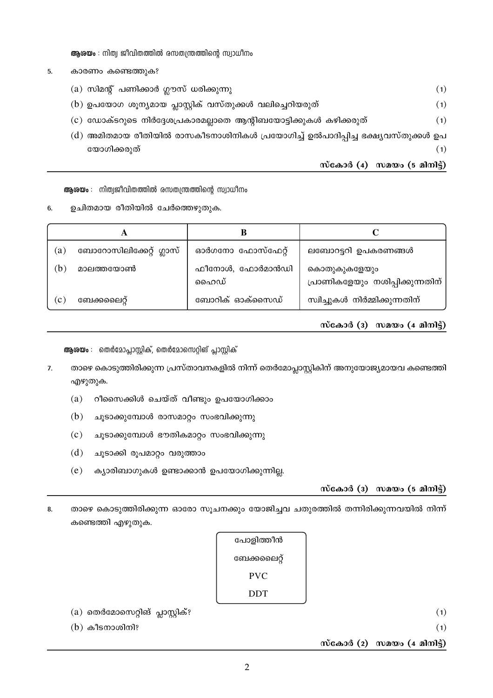ആശയം : നിത്വ ജീവിതത്തിൽ രസതന്ത്രത്തിന്റെ സ്വാധീനം

- കാരണം കണ്ടെത്തുക? 5.
	- $(a)$  സിമന്റ് പണിക്കാർ ഗ്ലൗസ് ധരിക്കുന്നു
	- (b) ഉപയോഗ ശൂന്യമായ പ്ലാസ്റ്റിക് വസ്തുക്കൾ വലിച്ചെറിയരുത്  $(1)$
	- (c) ഡോക്ടറുടെ നിർദ്ദേശപ്രകാരമല്ലാതെ ആന്റിബയോട്ടിക്കുകൾ കഴിക്കരുത്  $(1)$
	- (d) അമിതമായ രീതിയിൽ രാസകീടനാശിനികൾ പ്രയോഗിച്ച് ഉൽപാദിപ്പിച്ച ഭക്ഷ്യവസ്തുക്കൾ ഉപ യോഗിക്കരുത്  $(1)$

സ്കോർ (4) സമയം (5 മിനിട്ട്)

 $(1)$ 

ആശയം : നിത്വജീവിതത്തിൽ രസതന്ത്രത്തിന്റെ സ്വാധീനം

 $6.$ ഉചിതമായ രീതിയിൽ ചേർത്തെഴുതുക.

|              | A                       |                         |                                                 |
|--------------|-------------------------|-------------------------|-------------------------------------------------|
| (a)          | ബോറോസിലിക്കേറ്റ് ഗ്ലാസ് | ഓർഗനോ ഫോസ്ഫേറ്റ്        | ലബോറട്ടറി ഉപകരണങ്ങൾ                             |
| b)           | മാലത്തയോൺ               | ഫീനോൾ, ഫോർമാൻഡി<br>ഹൈഡ് | കൊതുകുകളേയും<br>പ്രാണികളേയും നശിപ്പിക്കുന്നതിന് |
| $\mathbf{c}$ | ബേക്കലൈറ്റ്             | ബോറിക് ഓക്സൈഡ്          | സ്വിച്ചുകൾ നിർമ്മിക്കുന്നതിന്                   |

സ്കോർ (3) സമയം  $(4 \text{ and } 3)$ 

ആശയം : തെർമോപ്ലാസ്സിക്, തെർമോസെറ്റിങ് പ്ലാസ്സിക്

- താഴെ കൊടുത്തിരിക്കുന്ന പ്രസ്താവനകളിൽ നിന്ന് തെർമോപ്ലാസ്റ്റികിന് അനുയോജ്യമായവ കണ്ടെത്തി  $7.$ എഴുതുക.
	- $(a)$ റീസൈക്കിൾ ചെയ്ത് വീണ്ടും ഉപയോഗിക്കാം
	- $(b)$ ചൂടാക്കുമ്പോൾ രാസമാറ്റം സംഭവിക്കുന്നു
	- $(c)$ ചൂടാക്കുമ്പോൾ ഭൗതികമാറ്റം സംഭവിക്കുന്നു
	- $(d)$ ചൂടാക്കി രൂപമാറ്റം വരുത്താം
	- $(e)$ ക്യാരിബാഗുകൾ ഉണ്ടാക്കാൻ ഉപയോഗിക്കുന്നില്ല.

 $\tilde{\text{m}}$ салод (з)  $\tilde{\text{m}}$ ало (5 а $\tilde{\text{m}}$ )

താഴെ കൊടുത്തിരിക്കുന്ന ഓരോ സൂചനക്കും യോജിച്ചവ ചതുരത്തിൽ തന്നിരിക്കുന്നവയിൽ നിന്ന് 8. കണ്ടെത്തി എഴുതുക.

| പോളിത്തീൻ   |  |
|-------------|--|
| ബേക്കലൈറ്റ് |  |
| <b>PVC</b>  |  |
| DDT         |  |
|             |  |

 $(a)$  തെർമോസെറ്റിങ് പ്ലാസ്റ്റിക്?  $(1)$  $(b)$  കീടനാശിനി?  $(1)$ സ്കോർ (2) സമയം (4 മിനിട്ട്)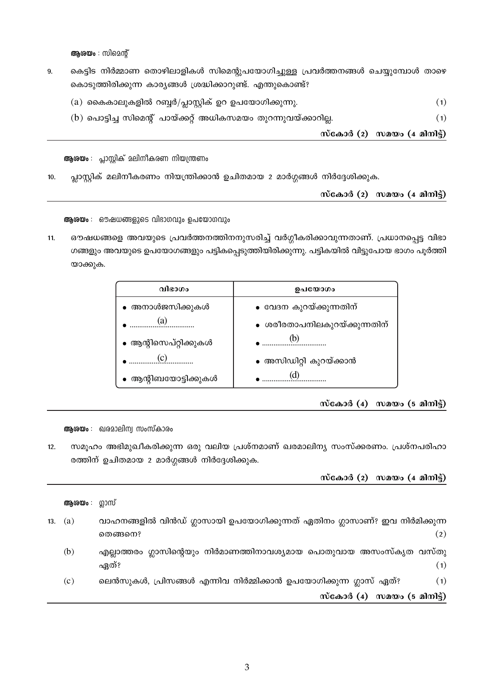ആശയം : സിമെന്റ്

- കെട്ടിട നിർമ്മാണ തൊഴിലാളികൾ സിമെന്റുപയോഗിച്ചുള്ള പ്രവർത്തനങ്ങൾ ചെയ്യുമ്പോൾ താഴെ 9. കൊടുത്തിരിക്കുന്ന കാര്യങ്ങൾ ശ്രദ്ധിക്കാറുണ്ട്. എന്തുകൊണ്ട്?
	- $(a)$  കൈകാലുകളിൽ റബ്ബർ/പ്ലാസ്റ്റിക് ഉറ ഉപയോഗിക്കുന്നു.  $(1)$
	- (b) പൊട്ടിച്ച സിമെന്റ് പായ്ക്കറ്റ് അധികസമയം തുറന്നുവയ്ക്കാറില്ല.  $(1)$

സ്കോർ (2) സമയം (4 മിനിട്ട്)

ആരയം : പ്ലാസ്റ്റിക് മലിനീകരണ നിയന്ത്രണം

പ്ലാസ്റ്റിക് മലിനീകരണം നിയന്ത്രിക്കാൻ ഉചിതമായ 2 മാർഗ്ഗങ്ങൾ നിർദ്ദേശിക്കുക.  $10.$ 

സ്കോർ  $(2)$  സമയം  $(4 \text{ and } 3)$ 

ആശയം : ഔഷധങ്ങളുടെ വിഭാഗവും ഉപയോഗവും

ഔഷധങ്ങളെ അവയുടെ പ്രവർത്തനത്തിനനുസരിച്ച് വർഗ്ഗീകരിക്കാവുന്നതാണ്. പ്രധാനപ്പെട്ട വിഭാ  $11.$ ഗങ്ങളും അവയുടെ ഉപയോഗങ്ങളും പട്ടികപ്പെടുത്തിയിരിക്കുന്നു. പട്ടികയിൽ വിട്ടുപോയ ഭാഗം പൂർത്തി യാക്കുക.

| വിഭാഗം                | ഉപയോഗം                       |
|-----------------------|------------------------------|
| • അനാൾജസിക്കുകൾ       | ∙ വേദന കുറയ്ക്കുന്നതിന്      |
|                       | ● ശരീരതാപനിലകുറയ്ക്കുന്നതിന് |
| ∙ ആന്റിസെപ്റ്റിക്കുകൾ |                              |
|                       | • അസിഡിറ്റി കുറയ്ക്കാൻ       |
| ആന്റിബയോട്ടിക്കുകൾ    | (U)                          |

സ്കോർ  $(4)$  സമയം  $(5$  മിനിട്ട്)

ആരയം : ഖരമാലിന്യ സംസ്കാരം

സമൂഹം അഭിമുഖീകരിക്കുന്ന ഒരു വലിയ പ്രശ്നമാണ് ഖരമാലിന്യ സംസ്ക്കരണം. പ്രശ്നപരിഹാ  $12.$ രത്തിന് ഉചിതമായ 2 മാർഗ്ഗങ്ങൾ നിർദ്ദേശിക്കുക.

|     | ആശയം : ഗ്ലാസ് |                                                                                              |
|-----|---------------|----------------------------------------------------------------------------------------------|
| 13. | (a)           | വാഹനങ്ങളിൽ വിൻഡ് ഗ്ലാസായി ഉപയോഗിക്കുന്നത് ഏതിനം ഗ്ലാസാണ്? ഇവ നിർമിക്കുന്ന<br>(2)<br>തെങ്ങനെ? |
|     | (b)           | എല്ലാത്തരം ഗ്ലാസിന്റെയും നിർമാണത്തിനാവശ്യമായ പൊതുവായ അസംസ്കൃത വസ്തു<br>ഏത്?<br>(1)           |
|     | (c)           | ലെൻസുകൾ, പ്രിസങ്ങൾ എന്നിവ നിർമ്മിക്കാൻ ഉപയോഗിക്കുന്ന ഗ്ലാസ് ഏത്?<br>(1)                      |
|     |               | സ്കോർ (4) സമയം (5 മിനിട്ട്)                                                                  |